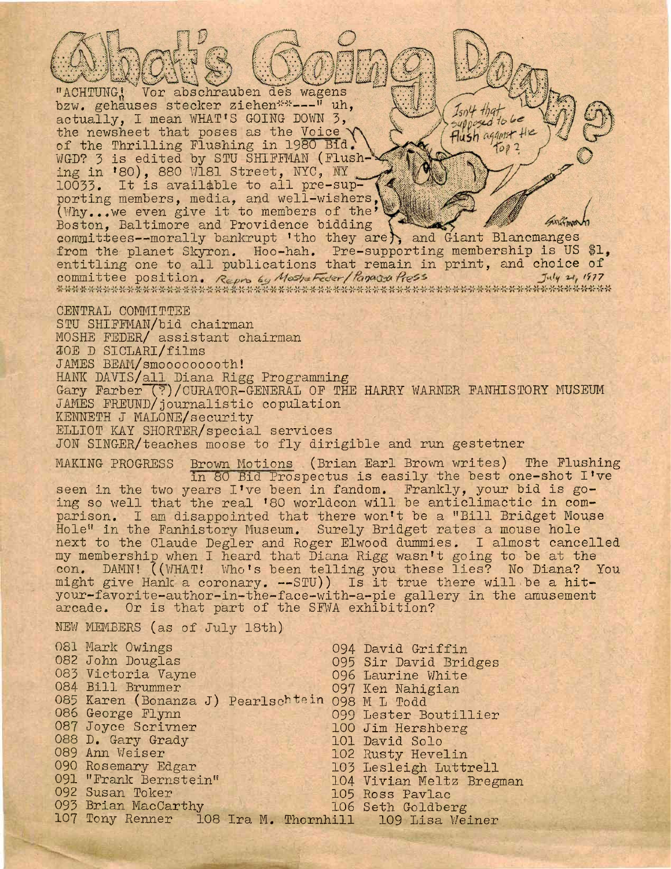"ACHTUNG, Vor abschrauben des wagens bzw. gehauses stecker ziehen\*\*---" uh,  $I_{sn}$ 4 that actually, I mean WHAT'S GOING DOWN 3.  $supp_{e}$  to be the newsheet that poses as the Voice Flush against the of the Thrilling Flushing in 1980 Bid  $\frac{1}{2}$ WGD? 3 is edited by STU SHIFFMAN (Flushing in '80), 880 W181 Street, NYC, NY 10033. It is available to all pre-supporting members, media, and well-wishers, (Why...we even give it to members of the' Boston, Baltimore and Providence bidding Boston, Baltimore and Providence bidding<br>committees--morally bankrupt 'tho they are and Giant Blancmanges from the planet Skyron. Hoo-hah. Pre-supporting membership is US \$1, entitling one to all publications that remain in print, and choice of *1^7* committee position. Repro by Mashe Feder/Panagea Press CENTRAL COMMITTEE STU SHIFFMAN/bid chairman MOSHE FEDER/ assistant chairman JOE D SICLARl/films JAMES BEAM/smooooooooth! HANK DAVIS/all Diana Rigg Programming Gary Farber (?)/CURATOR-GENERAL OF THE HARRY WARNER FANHISTORY MUSEUM JAMES FREUND/journalistic copulation KENNETH J MALONE/security ELLIOT KAY SHORTER/special services JON SINGER/teaches moose to fly dirigible and run gestetner MAKING PROGRESS Brown Motions (Brian Earl Brown writes) The Flushing in 80 Bid Prospectus is easily the best one-shot I've seen in the two years I've been in fandom. Frankly, your bid is going so well that the real '80 worldcon will be anticlimactic in comparison. I am disappointed that there won't be a "Bill Bridget Mouse Hole" in the Fanhistory Museum. Surely Bridget rates a mouse hole next to the Claude Degler and Roger Elwood dummies. I almost cancelled my membership when I heard that Diana Rigg wasn't going to be at the con. DAMN! ((WHAT! Who's been telling you these lies? No Diana? You might give Hank <sup>a</sup> coronary. —STU)) Is it true there will be <sup>a</sup> hityour-favorite-author-in-the-face-with-a-pie gallery in the amusement arcade. Or is that part of the SFWA exhibition? NEW MEMBERS (as of July 18th) 081 Mark Owings 1982 John Douglas<br>1992 John Douglas 1982 O95 Sir David Bri 095 Sir David Bridges 083 Victoria Vayne<br>
084 Bill Brummer<br>
097 Ken Nahigian 084 Bill Brummer 085 Karen (Bonanza J) Pearlschtein 098 M L Todd<br>086 George Flynn 086 George Flynn 099 Lester Boutillier 100 Jim Hershberg<br>101 David Solo 088 D. Gary Grady<br>089 Ann Weiser 089 Ann Weiser 102 Rusty Hevelin<br>103 Rosemary Edgar 103 Lesleigh Lutt 090 Rosemary Edgar 103 Lesleigh Luttrell 091 "Frank Bernstein" 104 Vivian Meltz Bregman<br>092 Susan Toker 105 Ross Pavlac 105 Ross Pavlac<br>106 Seth Goldberg 093 Brian MacCarthy 107 Tony Renner 108 Ira M. Thornhill 109 Lisa Weiner